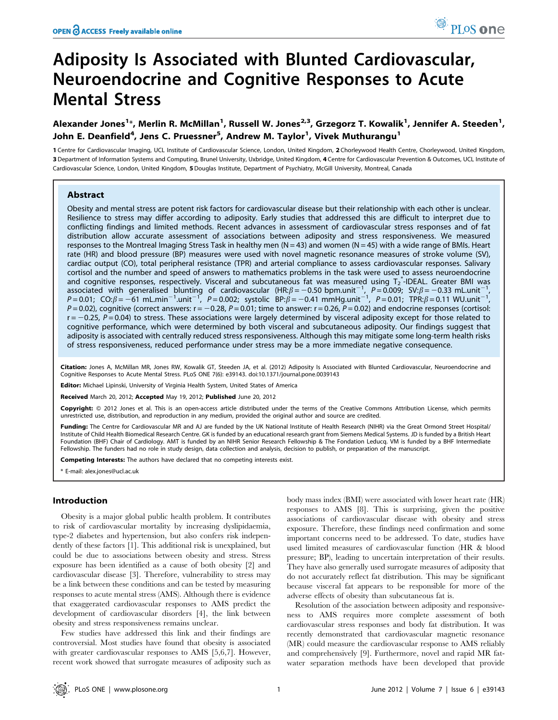# Adiposity Is Associated with Blunted Cardiovascular, Neuroendocrine and Cognitive Responses to Acute Mental Stress

# Alexander Jones<sup>1</sup>\*, Merlin R. McMillan<sup>1</sup>, Russell W. Jones<sup>2,3</sup>, Grzegorz T. Kowalik<sup>1</sup>, Jennifer A. Steeden<sup>1</sup>, John E. Deanfield<sup>4</sup>, Jens C. Pruessner<sup>5</sup>, Andrew M. Taylor<sup>1</sup>, Vivek Muthurangu<sup>1</sup>

1 Centre for Cardiovascular Imaging, UCL Institute of Cardiovascular Science, London, United Kingdom, 2 Chorleywood Health Centre, Chorleywood, United Kingdom, 3 Department of Information Systems and Computing, Brunel University, Uxbridge, United Kingdom, 4 Centre for Cardiovascular Prevention & Outcomes, UCL Institute of Cardiovascular Science, London, United Kingdom, 5 Douglas Institute, Department of Psychiatry, McGill University, Montreal, Canada

#### Abstract

Obesity and mental stress are potent risk factors for cardiovascular disease but their relationship with each other is unclear. Resilience to stress may differ according to adiposity. Early studies that addressed this are difficult to interpret due to conflicting findings and limited methods. Recent advances in assessment of cardiovascular stress responses and of fat distribution allow accurate assessment of associations between adiposity and stress responsiveness. We measured responses to the Montreal Imaging Stress Task in healthy men  $(N = 43)$  and women  $(N = 45)$  with a wide range of BMIs. Heart rate (HR) and blood pressure (BP) measures were used with novel magnetic resonance measures of stroke volume (SV), cardiac output (CO), total peripheral resistance (TPR) and arterial compliance to assess cardiovascular responses. Salivary cortisol and the number and speed of answers to mathematics problems in the task were used to assess neuroendocrine and cognitive responses, respectively. Visceral and subcutaneous fat was measured using  $T_2^*$ -IDEAL. Greater BMI was associated with generalised blunting of cardiovascular (HR: $\beta$  = -0.50 bpm.unit<sup>-1</sup>,  $P$  = 0.009; SV: $\beta$  = -0.33 mL.unit<sup>-1</sup> associated with generalised blunting of cardiovascular (HR: $\beta$ = $-0.50$  bpm.unit $^{-1}$ , P=0.009; SV: $\beta$ = $-0.33$  mL.unit $^{-1}$ ,<br>P=0.01; CO: $\beta$ = $-61$  mL.min $^{-1}$ .unit $^{-1}$ , P=0.002; systolic BP: $\beta$ = $-0.41$  mmHg.unit $^{-1}$ ,  $P = 0.02$ ), cognitive (correct answers:  $r = -0.28$ ,  $P = 0.01$ ; time to answer:  $r = 0.26$ ,  $P = 0.02$ ) and endocrine responses (cortisol:  $r = -0.25$ , P = 0.04) to stress. These associations were largely determined by visceral adiposity except for those related to cognitive performance, which were determined by both visceral and subcutaneous adiposity. Our findings suggest that adiposity is associated with centrally reduced stress responsiveness. Although this may mitigate some long-term health risks of stress responsiveness, reduced performance under stress may be a more immediate negative consequence.

Citation: Jones A, McMillan MR, Jones RW, Kowalik GT, Steeden JA, et al. (2012) Adiposity Is Associated with Blunted Cardiovascular, Neuroendocrine and Cognitive Responses to Acute Mental Stress. PLoS ONE 7(6): e39143. doi:10.1371/journal.pone.0039143

Editor: Michael Lipinski, University of Virginia Health System, United States of America

Received March 20, 2012; Accepted May 19, 2012; Published June 20, 2012

Copyright: © 2012 Jones et al. This is an open-access article distributed under the terms of the Creative Commons Attribution License, which permits unrestricted use, distribution, and reproduction in any medium, provided the original author and source are credited.

Funding: The Centre for Cardiovascular MR and AJ are funded by the UK National Institute of Health Research (NIHR) via the Great Ormond Street Hospital/ Institute of Child Health Biomedical Research Centre. GK is funded by an educational research grant from Siemens Medical Systems. JD is funded by a British Heart Foundation (BHF) Chair of Cardiology. AMT is funded by an NIHR Senior Research Fellowship & The Fondation Leducq. VM is funded by a BHF Intermediate Fellowship. The funders had no role in study design, data collection and analysis, decision to publish, or preparation of the manuscript.

Competing Interests: The authors have declared that no competing interests exist.

\* E-mail: alex.jones@ucl.ac.uk

# Introduction

Obesity is a major global public health problem. It contributes to risk of cardiovascular mortality by increasing dyslipidaemia, type-2 diabetes and hypertension, but also confers risk independently of these factors [1]. This additional risk is unexplained, but could be due to associations between obesity and stress. Stress exposure has been identified as a cause of both obesity [2] and cardiovascular disease [3]. Therefore, vulnerability to stress may be a link between these conditions and can be tested by measuring responses to acute mental stress (AMS). Although there is evidence that exaggerated cardiovascular responses to AMS predict the development of cardiovascular disorders [4], the link between obesity and stress responsiveness remains unclear.

Few studies have addressed this link and their findings are controversial. Most studies have found that obesity is associated with greater cardiovascular responses to AMS [5,6,7]. However, recent work showed that surrogate measures of adiposity such as body mass index (BMI) were associated with lower heart rate (HR) responses to AMS [8]. This is surprising, given the positive associations of cardiovascular disease with obesity and stress exposure. Therefore, these findings need confirmation and some important concerns need to be addressed. To date, studies have used limited measures of cardiovascular function (HR & blood pressure; BP), leading to uncertain interpretation of their results. They have also generally used surrogate measures of adiposity that do not accurately reflect fat distribution. This may be significant because visceral fat appears to be responsible for more of the adverse effects of obesity than subcutaneous fat is.

Resolution of the association between adiposity and responsiveness to AMS requires more complete assessment of both cardiovascular stress responses and body fat distribution. It was recently demonstrated that cardiovascular magnetic resonance (MR) could measure the cardiovascular response to AMS reliably and comprehensively [9]. Furthermore, novel and rapid MR fatwater separation methods have been developed that provide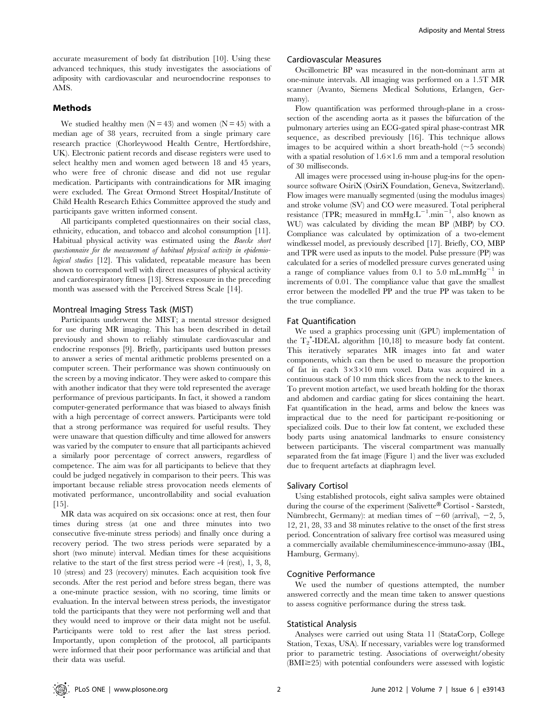accurate measurement of body fat distribution [10]. Using these advanced techniques, this study investigates the associations of adiposity with cardiovascular and neuroendocrine responses to AMS.

# Methods

We studied healthy men  $(N = 43)$  and women  $(N = 45)$  with a median age of 38 years, recruited from a single primary care research practice (Chorleywood Health Centre, Hertfordshire, UK). Electronic patient records and disease registers were used to select healthy men and women aged between 18 and 45 years, who were free of chronic disease and did not use regular medication. Participants with contraindications for MR imaging were excluded. The Great Ormond Street Hospital/Institute of Child Health Research Ethics Committee approved the study and participants gave written informed consent.

All participants completed questionnaires on their social class, ethnicity, education, and tobacco and alcohol consumption [11]. Habitual physical activity was estimated using the Baecke short questionnaire for the measurement of habitual physical activity in epidemiological studies [12]. This validated, repeatable measure has been shown to correspond well with direct measures of physical activity and cardiorespiratory fitness [13]. Stress exposure in the preceding month was assessed with the Perceived Stress Scale [14].

#### Montreal Imaging Stress Task (MIST)

Participants underwent the MIST; a mental stressor designed for use during MR imaging. This has been described in detail previously and shown to reliably stimulate cardiovascular and endocrine responses [9]. Briefly, participants used button presses to answer a series of mental arithmetic problems presented on a computer screen. Their performance was shown continuously on the screen by a moving indicator. They were asked to compare this with another indicator that they were told represented the average performance of previous participants. In fact, it showed a random computer-generated performance that was biased to always finish with a high percentage of correct answers. Participants were told that a strong performance was required for useful results. They were unaware that question difficulty and time allowed for answers was varied by the computer to ensure that all participants achieved a similarly poor percentage of correct answers, regardless of competence. The aim was for all participants to believe that they could be judged negatively in comparison to their peers. This was important because reliable stress provocation needs elements of motivated performance, uncontrollability and social evaluation  $[15]$ .

MR data was acquired on six occasions: once at rest, then four times during stress (at one and three minutes into two consecutive five-minute stress periods) and finally once during a recovery period. The two stress periods were separated by a short (two minute) interval. Median times for these acquisitions relative to the start of the first stress period were -4 (rest), 1, 3, 8, 10 (stress) and 23 (recovery) minutes. Each acquisition took five seconds. After the rest period and before stress began, there was a one-minute practice session, with no scoring, time limits or evaluation. In the interval between stress periods, the investigator told the participants that they were not performing well and that they would need to improve or their data might not be useful. Participants were told to rest after the last stress period. Importantly, upon completion of the protocol, all participants were informed that their poor performance was artificial and that their data was useful.

# Cardiovascular Measures

Oscillometric BP was measured in the non-dominant arm at one-minute intervals. All imaging was performed on a 1.5T MR scanner (Avanto, Siemens Medical Solutions, Erlangen, Germany).

Flow quantification was performed through-plane in a crosssection of the ascending aorta as it passes the bifurcation of the pulmonary arteries using an ECG-gated spiral phase-contrast MR sequence, as described previously [16]. This technique allows images to be acquired within a short breath-hold  $(\sim 5$  seconds) with a spatial resolution of  $1.6 \times 1.6$  mm and a temporal resolution of 30 milliseconds.

All images were processed using in-house plug-ins for the opensource software OsiriX (OsiriX Foundation, Geneva, Switzerland). Flow images were manually segmented (using the modulus images) and stroke volume (SV) and CO were measured. Total peripheral resistance (TPR; measured in  $mmHg.L^{-1}.min^{-1}$ , also known as WU) was calculated by dividing the mean BP (MBP) by CO. Compliance was calculated by optimization of a two-element windkessel model, as previously described [17]. Briefly, CO, MBP and TPR were used as inputs to the model. Pulse pressure (PP) was calculated for a series of modelled pressure curves generated using a range of compliance values from 0.1 to 5.0 mL.mmHg<sup>-1</sup> in increments of 0.01. The compliance value that gave the smallest error between the modelled PP and the true PP was taken to be the true compliance.

# Fat Quantification

We used a graphics processing unit (GPU) implementation of the  $T_2^*$ -IDEAL algorithm [10,18] to measure body fat content. This iteratively separates MR images into fat and water components, which can then be used to measure the proportion of fat in each  $3\times3\times10$  mm voxel. Data was acquired in a continuous stack of 10 mm thick slices from the neck to the knees. To prevent motion artefact, we used breath holding for the thorax and abdomen and cardiac gating for slices containing the heart. Fat quantification in the head, arms and below the knees was impractical due to the need for participant re-positioning or specialized coils. Due to their low fat content, we excluded these body parts using anatomical landmarks to ensure consistency between participants. The visceral compartment was manually separated from the fat image (Figure 1) and the liver was excluded due to frequent artefacts at diaphragm level.

#### Salivary Cortisol

Using established protocols, eight saliva samples were obtained during the course of the experiment (Salivette® Cortisol - Sarstedt, Nümbrecht, Germany): at median times of  $-60$  (arrival),  $-2$ , 5, 12, 21, 28, 33 and 38 minutes relative to the onset of the first stress period. Concentration of salivary free cortisol was measured using a commercially available chemiluminescence-immuno-assay (IBL, Hamburg, Germany).

# Cognitive Performance

We used the number of questions attempted, the number answered correctly and the mean time taken to answer questions to assess cognitive performance during the stress task.

#### Statistical Analysis

Analyses were carried out using Stata 11 (StataCorp, College Station, Texas, USA). If necessary, variables were log transformed prior to parametric testing. Associations of overweight/obesity  $(BMI \geq 25)$  with potential confounders were assessed with logistic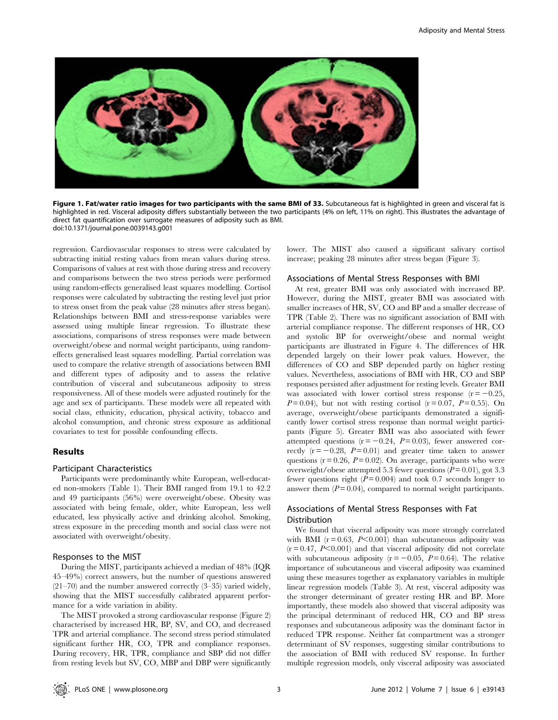

Figure 1. Fat/water ratio images for two participants with the same BMI of 33. Subcutaneous fat is highlighted in green and visceral fat is highlighted in red. Visceral adiposity differs substantially between the two participants (4% on left, 11% on right). This illustrates the advantage of direct fat quantification over surrogate measures of adiposity such as BMI. doi:10.1371/journal.pone.0039143.g001

regression. Cardiovascular responses to stress were calculated by subtracting initial resting values from mean values during stress. Comparisons of values at rest with those during stress and recovery and comparisons between the two stress periods were performed using random-effects generalised least squares modelling. Cortisol responses were calculated by subtracting the resting level just prior to stress onset from the peak value (28 minutes after stress began). Relationships between BMI and stress-response variables were assessed using multiple linear regression. To illustrate these associations, comparisons of stress responses were made between overweight/obese and normal weight participants, using randomeffects generalised least squares modelling. Partial correlation was used to compare the relative strength of associations between BMI and different types of adiposity and to assess the relative contribution of visceral and subcutaneous adiposity to stress responsiveness. All of these models were adjusted routinely for the age and sex of participants. These models were all repeated with social class, ethnicity, education, physical activity, tobacco and alcohol consumption, and chronic stress exposure as additional covariates to test for possible confounding effects.

# Results

#### Participant Characteristics

Participants were predominantly white European, well-educated non-smokers (Table 1). Their BMI ranged from 19.1 to 42.2 and 49 participants (56%) were overweight/obese. Obesity was associated with being female, older, white European, less well educated, less physically active and drinking alcohol. Smoking, stress exposure in the preceding month and social class were not associated with overweight/obesity.

#### Responses to the MIST

During the MIST, participants achieved a median of 48% (IQR 45–49%) correct answers, but the number of questions answered (21–70) and the number answered correctly (3–35) varied widely, showing that the MIST successfully calibrated apparent performance for a wide variation in ability.

The MIST provoked a strong cardiovascular response (Figure 2) characterised by increased HR, BP, SV, and CO, and decreased TPR and arterial compliance. The second stress period stimulated significant further HR, CO, TPR and compliance responses. During recovery, HR, TPR, compliance and SBP did not differ from resting levels but SV, CO, MBP and DBP were significantly

lower. The MIST also caused a significant salivary cortisol increase; peaking 28 minutes after stress began (Figure 3).

#### Associations of Mental Stress Responses with BMI

At rest, greater BMI was only associated with increased BP. However, during the MIST, greater BMI was associated with smaller increases of HR, SV, CO and BP and a smaller decrease of TPR (Table 2). There was no significant association of BMI with arterial compliance response. The different responses of HR, CO and systolic BP for overweight/obese and normal weight participants are illustrated in Figure 4. The differences of HR depended largely on their lower peak values. However, the differences of CO and SBP depended partly on higher resting values. Nevertheless, associations of BMI with HR, CO and SBP responses persisted after adjustment for resting levels. Greater BMI was associated with lower cortisol stress response  $(r = -0.25,$  $P=0.04$ ), but not with resting cortisol (r = 0.07,  $P=0.55$ ). On average, overweight/obese participants demonstrated a significantly lower cortisol stress response than normal weight participants (Figure 5). Greater BMI was also associated with fewer attempted questions ( $r = -0.24$ ,  $P = 0.03$ ), fewer answered correctly  $(r = -0.28, P = 0.01)$  and greater time taken to answer questions ( $r = 0.26$ ,  $P = 0.02$ ). On average, participants who were overweight/obese attempted 5.3 fewer questions  $(P = 0.01)$ , got 3.3 fewer questions right  $(P = 0.004)$  and took 0.7 seconds longer to answer them  $(P = 0.04)$ , compared to normal weight participants.

# Associations of Mental Stress Responses with Fat Distribution

We found that visceral adiposity was more strongly correlated with BMI ( $r = 0.63$ ,  $P \le 0.001$ ) than subcutaneous adiposity was  $(r = 0.47, P \leq 0.001)$  and that visceral adiposity did not correlate with subcutaneous adiposity ( $r = -0.05$ ,  $P = 0.64$ ). The relative importance of subcutaneous and visceral adiposity was examined using these measures together as explanatory variables in multiple linear regression models (Table 3). At rest, visceral adiposity was the stronger determinant of greater resting HR and BP. More importantly, these models also showed that visceral adiposity was the principal determinant of reduced HR, CO and BP stress responses and subcutaneous adiposity was the dominant factor in reduced TPR response. Neither fat compartment was a stronger determinant of SV responses, suggesting similar contributions to the association of BMI with reduced SV response. In further multiple regression models, only visceral adiposity was associated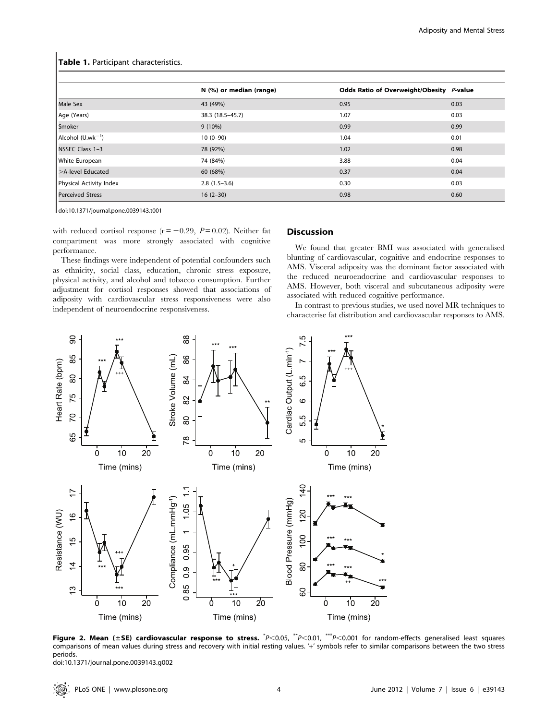|                         | N (%) or median (range) | Odds Ratio of Overweight/Obesity P-value |      |
|-------------------------|-------------------------|------------------------------------------|------|
| Male Sex                | 43 (49%)                | 0.95                                     | 0.03 |
| Age (Years)             | 38.3 (18.5-45.7)        | 1.07                                     | 0.03 |
| Smoker                  | $9(10\%)$               | 0.99                                     | 0.99 |
| Alcohol $(U.wk^{-1})$   | $10(0-90)$              | 1.04                                     | 0.01 |
| NSSEC Class 1-3         | 78 (92%)                | 1.02                                     | 0.98 |
| White European          | 74 (84%)                | 3.88                                     | 0.04 |
| >A-level Educated       | 60 (68%)                | 0.37                                     | 0.04 |
| Physical Activity Index | $2.8(1.5-3.6)$          | 0.30                                     | 0.03 |
| <b>Perceived Stress</b> | $16(2-30)$              | 0.98                                     | 0.60 |

#### Table 1. Participant characteristics.

doi:10.1371/journal.pone.0039143.t001

with reduced cortisol response  $(r = -0.29, P = 0.02)$ . Neither fat compartment was more strongly associated with cognitive performance.

These findings were independent of potential confounders such as ethnicity, social class, education, chronic stress exposure, physical activity, and alcohol and tobacco consumption. Further adjustment for cortisol responses showed that associations of adiposity with cardiovascular stress responsiveness were also independent of neuroendocrine responsiveness.

# Discussion

We found that greater BMI was associated with generalised blunting of cardiovascular, cognitive and endocrine responses to AMS. Visceral adiposity was the dominant factor associated with the reduced neuroendocrine and cardiovascular responses to AMS. However, both visceral and subcutaneous adiposity were associated with reduced cognitive performance.

In contrast to previous studies, we used novel MR techniques to characterise fat distribution and cardiovascular responses to AMS.



Figure 2. Mean (±SE) cardiovascular response to stress. <sup>\*</sup>P<0.05, \*\*P<0.01, \*\*\*P<0.001 for random-effects generalised least squares comparisons of mean values during stress and recovery with initial resting values. '+' symbols refer to similar comparisons between the two stress periods.

doi:10.1371/journal.pone.0039143.g002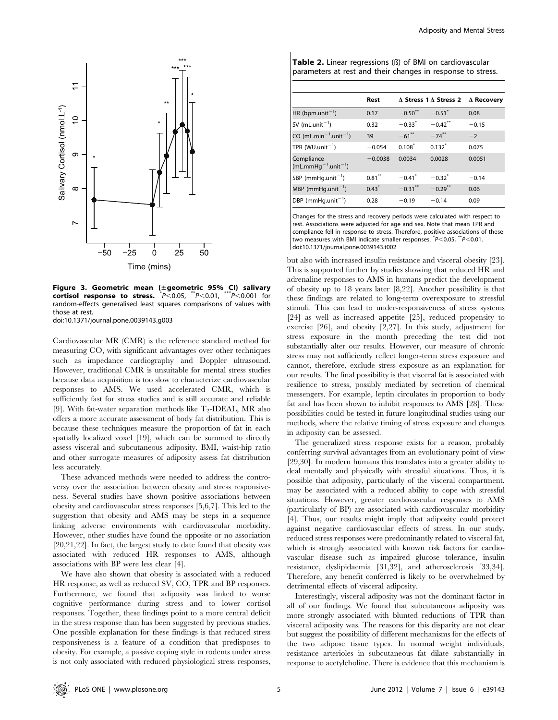

Figure 3. Geometric mean (±geometric 95% CI) salivary cortisol response to stress.  $\frac{P}{C}$ 0.05,  $\frac{P}{C}$ 0.01,  $\frac{P}{C}$ 0.001 for random-effects generalised least squares comparisons of values with those at rest. doi:10.1371/journal.pone.0039143.g003

Cardiovascular MR (CMR) is the reference standard method for measuring CO, with significant advantages over other techniques such as impedance cardiography and Doppler ultrasound. However, traditional CMR is unsuitable for mental stress studies because data acquisition is too slow to characterize cardiovascular responses to AMS. We used accelerated CMR, which is sufficiently fast for stress studies and is still accurate and reliable [9]. With fat-water separation methods like  $T_2$ -IDEAL, MR also offers a more accurate assessment of body fat distribution. This is because these techniques measure the proportion of fat in each spatially localized voxel [19], which can be summed to directly assess visceral and subcutaneous adiposity. BMI, waist-hip ratio and other surrogate measures of adiposity assess fat distribution less accurately.

These advanced methods were needed to address the controversy over the association between obesity and stress responsiveness. Several studies have shown positive associations between obesity and cardiovascular stress responses [5,6,7]. This led to the suggestion that obesity and AMS may be steps in a sequence linking adverse environments with cardiovascular morbidity. However, other studies have found the opposite or no association [20,21,22]. In fact, the largest study to date found that obesity was associated with reduced HR responses to AMS, although associations with BP were less clear [4].

We have also shown that obesity is associated with a reduced HR response, as well as reduced SV, CO, TPR and BP responses. Furthermore, we found that adiposity was linked to worse cognitive performance during stress and to lower cortisol responses. Together, these findings point to a more central deficit in the stress response than has been suggested by previous studies. One possible explanation for these findings is that reduced stress responsiveness is a feature of a condition that predisposes to obesity. For example, a passive coping style in rodents under stress is not only associated with reduced physiological stress responses,

| <b>Table 2.</b> Linear regressions (B) of BMI on cardiovascular |  |
|-----------------------------------------------------------------|--|
| parameters at rest and their changes in response to stress.     |  |

|                                          | Rest      |                       | $\Delta$ Stress 1 $\Delta$ Stress 2 | $\Delta$ Recoverv |
|------------------------------------------|-----------|-----------------------|-------------------------------------|-------------------|
| HR (bpm.unit <sup>-1</sup> )             | 0.17      | $-0.50$ <sup>**</sup> | $-0.51$ <sup>*</sup>                | 0.08              |
| SV $(mL.unit^{-1})$                      | 0.32      | $-0.33^{*}$           | $-0.42$ <sup>**</sup>               | $-0.15$           |
| $CO (mL.min-1.unit-1)$                   | 39        | $-61$ <sup>**</sup>   | $-74$ <sup>**</sup>                 | $-2$              |
| TPR (WU.unit <sup>-1</sup> )             | $-0.054$  | $0.108^{*}$           | $0.132*$                            | 0.075             |
| Compliance<br>$(mL.mmHg^{-1}.unit^{-1})$ | $-0.0038$ | 0.0034                | 0.0028                              | 0.0051            |
| SBP (mmHq.unit <sup>-1</sup> )           | $0.81***$ | $-0.41$ <sup>*</sup>  | $-0.32^{*}$                         | $-0.14$           |
| MBP (mmHg.unit <sup>-1</sup> )           | $0.43^*$  | $-0.31$ **            | $-0.29$ **                          | 0.06              |
| DBP (mmHq.unit <sup>-1</sup> )           | 0.28      | $-0.19$               | $-0.14$                             | 0.09              |

Changes for the stress and recovery periods were calculated with respect to rest. Associations were adjusted for age and sex. Note that mean TPR and compliance fell in response to stress. Therefore, positive associations of these two measures with BMI indicate smaller responses.  $\text{*P}$  < 0.05,  $\text{*P}$  < 0.01. doi:10.1371/journal.pone.0039143.t002

but also with increased insulin resistance and visceral obesity [23]. This is supported further by studies showing that reduced HR and adrenaline responses to AMS in humans predict the development of obesity up to 18 years later [8,22]. Another possibility is that these findings are related to long-term overexposure to stressful stimuli. This can lead to under-responsiveness of stress systems [24] as well as increased appetite [25], reduced propensity to exercise [26], and obesity [2,27]. In this study, adjustment for stress exposure in the month preceding the test did not substantially alter our results. However, our measure of chronic stress may not sufficiently reflect longer-term stress exposure and cannot, therefore, exclude stress exposure as an explanation for our results. The final possibility is that visceral fat is associated with resilience to stress, possibly mediated by secretion of chemical messengers. For example, leptin circulates in proportion to body fat and has been shown to inhibit responses to AMS [28]. These possibilities could be tested in future longitudinal studies using our methods, where the relative timing of stress exposure and changes in adiposity can be assessed.

The generalized stress response exists for a reason, probably conferring survival advantages from an evolutionary point of view [29,30]. In modern humans this translates into a greater ability to deal mentally and physically with stressful situations. Thus, it is possible that adiposity, particularly of the visceral compartment, may be associated with a reduced ability to cope with stressful situations. However, greater cardiovascular responses to AMS (particularly of BP) are associated with cardiovascular morbidity [4]. Thus, our results might imply that adiposity could protect against negative cardiovascular effects of stress. In our study, reduced stress responses were predominantly related to visceral fat, which is strongly associated with known risk factors for cardiovascular disease such as impaired glucose tolerance, insulin resistance, dyslipidaemia [31,32], and atherosclerosis [33,34]. Therefore, any benefit conferred is likely to be overwhelmed by detrimental effects of visceral adiposity.

Interestingly, visceral adiposity was not the dominant factor in all of our findings. We found that subcutaneous adiposity was more strongly associated with blunted reductions of TPR than visceral adiposity was. The reasons for this disparity are not clear but suggest the possibility of different mechanisms for the effects of the two adipose tissue types. In normal weight individuals, resistance arterioles in subcutaneous fat dilate substantially in response to acetylcholine. There is evidence that this mechanism is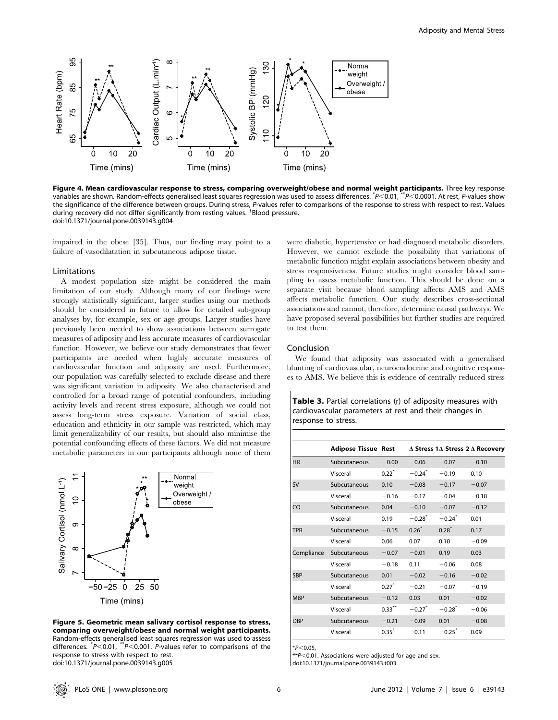

Figure 4. Mean cardiovascular response to stress, comparing overweight/obese and normal weight participants. Three key response variables are shown. Random-effects generalised least squares regression was used to assess differences. \*P<0.01,\*\*P<0.0001. At rest, P-values show the significance of the difference between groups. During stress, P-values refer to comparisons of the response to stress with respect to rest. Values during recovery did not differ significantly from resting values. <sup>†</sup>Blood pressure. doi:10.1371/journal.pone.0039143.g004

impaired in the obese [35]. Thus, our finding may point to a failure of vasodilatation in subcutaneous adipose tissue.

#### Limitations

A modest population size might be considered the main limitation of our study. Although many of our findings were strongly statistically significant, larger studies using our methods should be considered in future to allow for detailed sub-group analyses by, for example, sex or age groups. Larger studies have previously been needed to show associations between surrogate measures of adiposity and less accurate measures of cardiovascular function. However, we believe our study demonstrates that fewer participants are needed when highly accurate measures of cardiovascular function and adiposity are used. Furthermore, our population was carefully selected to exclude disease and there was significant variation in adiposity. We also characterised and controlled for a broad range of potential confounders, including activity levels and recent stress exposure, although we could not assess long-term stress exposure. Variation of social class, education and ethnicity in our sample was restricted, which may limit generalizability of our results, but should also minimise the potential confounding effects of these factors. We did not measure metabolic parameters in our participants although none of them



Figure 5. Geometric mean salivary cortisol response to stress, comparing overweight/obese and normal weight participants. Random-effects generalised least squares regression was used to assess differences.  $\degree$ P<0.01,  $\degree$  P<0.001. P-values refer to comparisons of the response to stress with respect to rest. doi:10.1371/journal.pone.0039143.g005

were diabetic, hypertensive or had diagnosed metabolic disorders. However, we cannot exclude the possibility that variations of metabolic function might explain associations between obesity and stress responsiveness. Future studies might consider blood sampling to assess metabolic function. This should be done on a separate visit because blood sampling affects AMS and AMS affects metabolic function. Our study describes cross-sectional associations and cannot, therefore, determine causal pathways. We have proposed several possibilities but further studies are required to test them.

# Conclusion

We found that adiposity was associated with a generalised blunting of cardiovascular, neuroendocrine and cognitive responses to AMS. We believe this is evidence of centrally reduced stress

Table 3. Partial correlations (r) of adiposity measures with

| cardiovascular parameters at rest and their changes in<br>response to stress. |                            |            |                      |         |                                                       |
|-------------------------------------------------------------------------------|----------------------------|------------|----------------------|---------|-------------------------------------------------------|
|                                                                               | <b>Adipose Tissue Rest</b> |            |                      |         | $\Delta$ Stress 1 $\Delta$ Stress 2 $\Delta$ Recovery |
| <b>HR</b>                                                                     | Subcutaneous               | $-0.00$    | $-0.06$              | $-0.07$ | $-0.10$                                               |
|                                                                               | Visceral                   | $0.22^{*}$ | $-0.24$ <sup>*</sup> | $-0.19$ | 0.10                                                  |

| <b>HR</b>  | Subcutaneous | $-0.00$    | $-0.06$              | $-0.07$              | $-0.10$ |
|------------|--------------|------------|----------------------|----------------------|---------|
|            | Visceral     | $0.22^{*}$ | $-0.24$ *            | $-0.19$              | 0.10    |
| <b>SV</b>  | Subcutaneous | 0.10       | $-0.08$              | $-0.17$              | $-0.07$ |
|            | Visceral     | $-0.16$    | $-0.17$              | $-0.04$              | $-0.18$ |
| CO         | Subcutaneous | 0.04       | $-0.10$              | $-0.07$              | $-0.12$ |
|            | Visceral     | 0.19       | $-0.28$ *            | $-0.24$ <sup>*</sup> | 0.01    |
| <b>TPR</b> | Subcutaneous | $-0.15$    | $0.26^{*}$           | $0.28^{*}$           | 0.17    |
|            | Visceral     | 0.06       | 0.07                 | 0.10                 | $-0.09$ |
|            |              |            |                      |                      |         |
| Compliance | Subcutaneous | $-0.07$    | $-0.01$              | 0.19                 | 0.03    |
|            | Visceral     | $-0.18$    | 0.11                 | $-0.06$              | 0.08    |
| <b>SBP</b> | Subcutaneous | 0.01       | $-0.02$              | $-0.16$              | $-0.02$ |
|            | Visceral     | $0.27$ *   | $-0.21$              | $-0.07$              | $-0.19$ |
| <b>MBP</b> | Subcutaneous | $-0.12$    | 0.03                 | 0.01                 | $-0.02$ |
|            | Visceral     | $0.33***$  | $-0.27$ <sup>*</sup> | $-0.28^{*}$          | $-0.06$ |
| <b>DBP</b> | Subcutaneous | $-0.21$    | $-0.09$              | 0.01                 | $-0.08$ |

 $*P<0.05$ 

 $*p$ <0.01. Associations were adjusted for age and sex. doi:10.1371/journal.pone.0039143.t003